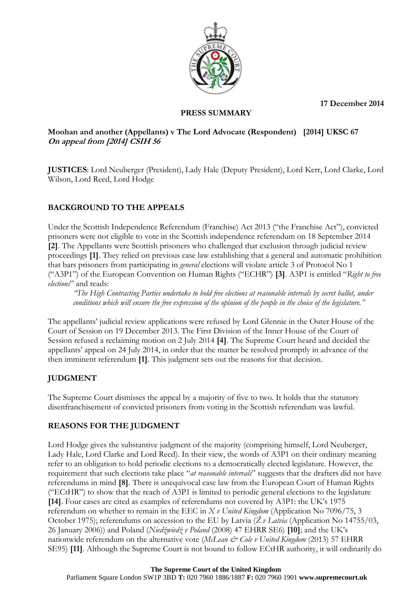**17 December 2014**



#### **PRESS SUMMARY**

#### **Moohan and another (Appellants) v The Lord Advocate (Respondent) [2014] UKSC 67 On appeal from [2014] CSIH 56**

**JUSTICES**: Lord Neuberger (President), Lady Hale (Deputy President), Lord Kerr, Lord Clarke, Lord Wilson, Lord Reed, Lord Hodge

# **BACKGROUND TO THE APPEALS**

Under the Scottish Independence Referendum (Franchise) Act 2013 ("the Franchise Act"), convicted prisoners were not eligible to vote in the Scottish independence referendum on 18 September 2014 **[2]**. The Appellants were Scottish prisoners who challenged that exclusion through judicial review proceedings **[1]**. They relied on previous case law establishing that a general and automatic prohibition that bars prisoners from participating in *general* elections will violate article 3 of Protocol No 1 ("A3P1") of the European Convention on Human Rights ("ECHR") **[3]**. A3P1 is entitled "*Right to free elections*" and reads:

*"The High Contracting Parties undertake to hold free elections at reasonable intervals by secret ballot, under conditions which will ensure the free expression of the opinion of the people in the choice of the legislature."*

The appellants' judicial review applications were refused by Lord Glennie in the Outer House of the Court of Session on 19 December 2013. The First Division of the Inner House of the Court of Session refused a reclaiming motion on 2 July 2014 **[4]**. The Supreme Court heard and decided the appellants' appeal on 24 July 2014, in order that the matter be resolved promptly in advance of the then imminent referendum **[1]**. This judgment sets out the reasons for that decision.

## **JUDGMENT**

The Supreme Court dismisses the appeal by a majority of five to two. It holds that the statutory disenfranchisement of convicted prisoners from voting in the Scottish referendum was lawful.

## **REASONS FOR THE JUDGMENT**

Lord Hodge gives the substantive judgment of the majority (comprising himself, Lord Neuberger, Lady Hale, Lord Clarke and Lord Reed). In their view, the words of A3P1 on their ordinary meaning refer to an obligation to hold periodic elections to a democratically elected legislature. However, the requirement that such elections take place "*at reasonable intervals*" suggests that the drafters did not have referendums in mind **[8]**. There is unequivocal case law from the European Court of Human Rights ("ECtHR") to show that the reach of A3P1 is limited to periodic general elections to the legislature **[14]**. Four cases are cited as examples of referendums not covered by A3P1: the UK's 1975 referendum on whether to remain in the EEC in *X v United Kingdom* (Application No 7096/75, 3 October 1975); referendums on accession to the EU by Latvia (*Ž v Latvia* (Application No 14755/03, 26 January 2006)) and Poland (*Niedźwiedź v Poland* (2008) 47 EHRR SE6) **[10]**; and the UK's nationwide referendum on the alternative vote (*McLean & Cole v United Kingdom* (2013) 57 EHRR SE95) **[11]**. Although the Supreme Court is not bound to follow ECtHR authority, it will ordinarily do

# **The Supreme Court of the United Kingdom**

Parliament Square London SW1P 3BD **T:** 020 7960 1886/1887 **F:** 020 7960 1901 **www.supremecourt.uk**